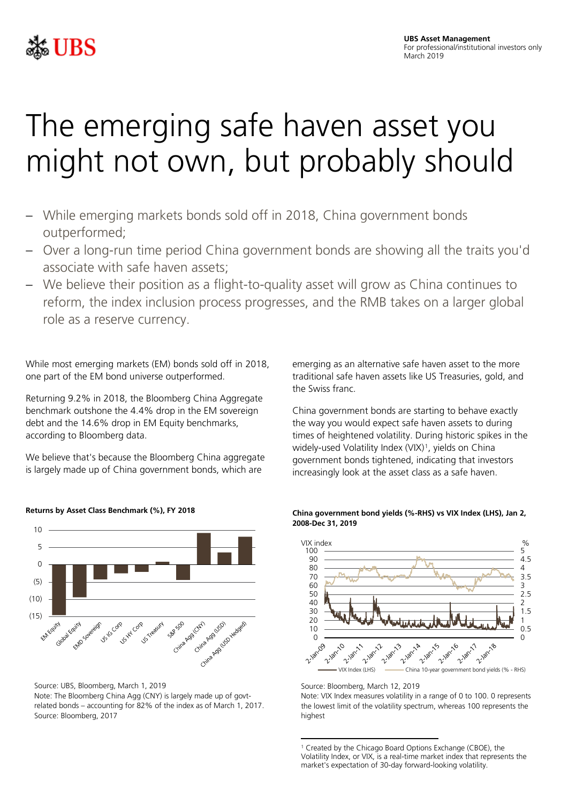

## The emerging safe haven asset you might not own, but probably should

- While emerging markets bonds sold off in 2018, China government bonds outperformed;
- Over a long-run time period China government bonds are showing all the traits you'd associate with safe haven assets;
- We believe their position as a flight-to-quality asset will grow as China continues to reform, the index inclusion process progresses, and the RMB takes on a larger global role as a reserve currency.

While most emerging markets (EM) bonds sold off in 2018, one part of the EM bond universe outperformed.

Returning 9.2% in 2018, the Bloomberg China Aggregate benchmark outshone the 4.4% drop in the EM sovereign debt and the 14.6% drop in EM Equity benchmarks, according to Bloomberg data.

We believe that's because the Bloomberg China aggregate is largely made up of China government bonds, which are



**Returns by Asset Class Benchmark (%), FY 2018**

<span id="page-0-0"></span>Source: UBS, Bloomberg, March 1, 2019 Note: The Bloomberg China Agg (CNY) is largely made up of govtrelated bonds – accounting for 82% of the index as of March 1, 2017. Source: Bloomberg, 2017

emerging as an alternative safe haven asset to the more traditional safe haven assets like US Treasuries, gold, and the Swiss franc.

China government bonds are starting to behave exactly the way you would expect safe haven assets to during times of heightened volatility. During historic spikes in the widely-used Volatility Index (VIX)<sup>1</sup>, yields on China government bonds tightened, indicating that investors increasingly look at the asset class as a safe haven.





Source: Bloomberg, March 12, 2019

Note: VIX Index measures volatility in a range of 0 to 100. 0 represents the lowest limit of the volatility spectrum, whereas 100 represents the highest

**<sup>.</sup>** <sup>1</sup> Created by the Chicago Board Options Exchange (CBOE), the Volatility Index, or VIX, is a real-time market index that represents the market's expectation of 30-day forward-looking volatility.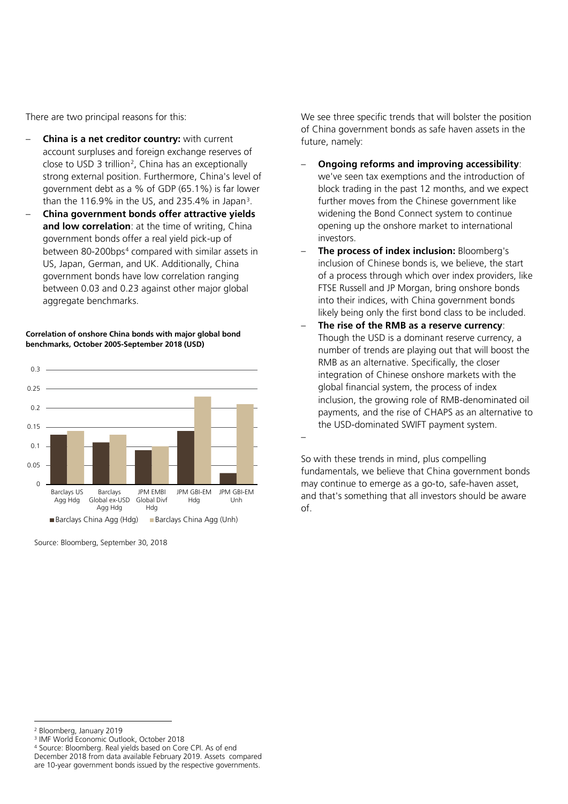There are two principal reasons for this:

- **China is a net creditor country:** with current account surpluses and foreign exchange reserves of close to USD 3 trillion<sup>[2](#page-1-0)</sup>, China has an exceptionally strong external position. Furthermore, China's level of government debt as a % of GDP (65.1%) is far lower than the 116.9% in the US, and 235.4% in Japan<sup>3</sup>.
- **China government bonds offer attractive yields and low correlation**: at the time of writing, China government bonds offer a real yield pick-up of between 80-200bps<sup>[4](#page-1-2)</sup> compared with similar assets in US, Japan, German, and UK. Additionally, China government bonds have low correlation ranging between 0.03 and 0.23 against other major global aggregate benchmarks.

**Correlation of onshore China bonds with major global bond benchmarks, October 2005-September 2018 (USD)**



Source: Bloomberg, September 30, 2018

We see three specific trends that will bolster the position of China government bonds as safe haven assets in the future, namely:

- **Ongoing reforms and improving accessibility**: we've seen tax exemptions and the introduction of block trading in the past 12 months, and we expect further moves from the Chinese government like widening the Bond Connect system to continue opening up the onshore market to international investors.
- **The process of index inclusion:** Bloomberg's inclusion of Chinese bonds is, we believe, the start of a process through which over index providers, like FTSE Russell and JP Morgan, bring onshore bonds into their indices, with China government bonds likely being only the first bond class to be included.
- **The rise of the RMB as a reserve currency**: Though the USD is a dominant reserve currency, a number of trends are playing out that will boost the RMB as an alternative. Specifically, the closer integration of Chinese onshore markets with the global financial system, the process of index inclusion, the growing role of RMB-denominated oil payments, and the rise of CHAPS as an alternative to the USD-dominated SWIFT payment system.

So with these trends in mind, plus compelling fundamentals, we believe that China government bonds may continue to emerge as a go-to, safe-haven asset, and that's something that all investors should be aware of.

–

**.** 

<span id="page-1-0"></span><sup>2</sup> Bloomberg, January 2019

<span id="page-1-1"></span><sup>3</sup> IMF World Economic Outlook, October 2018

<span id="page-1-2"></span><sup>4</sup> Source: Bloomberg. Real yields based on Core CPI. As of end December 2018 from data available February 2019. Assets compared

are 10-year government bonds issued by the respective governments.